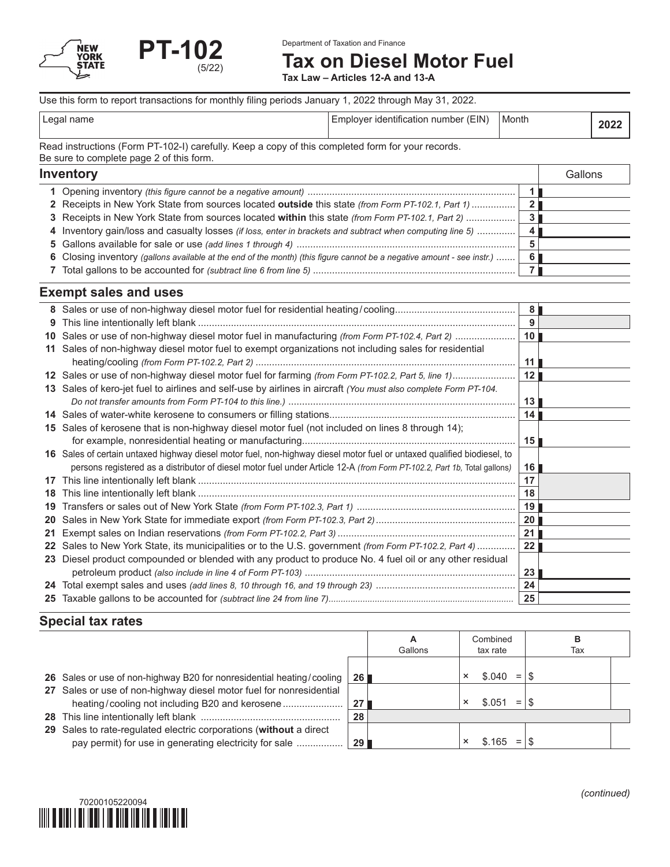

# **Tax on Diesel Motor Fuel**

**Tax Law – Articles 12-A and 13-A**

#### Use this form to report transactions for monthly filing periods January 1, 2022 through May 31, 2022.

| name<br>$\Omega$<br>∟ບບ | (EIN)<br>$ -$<br><b>identification</b><br>number<br>mninver | Month |  |
|-------------------------|-------------------------------------------------------------|-------|--|

Read instructions (Form PT-102-I) carefully. Keep a copy of this completed form for your records. Be sure to complete page 2 of this form.

### **Inventory** Gallons **1** Opening inventory *(this figure cannot be a negative amount)* ............................................................................ **1 2** Receipts in New York State from sources located **outside** this state *(from Form PT-102.1, Part 1)* ................ **2 3** Receipts in New York State from sources located **within** this state *(from Form PT-102.1, Part 2)* .................. **3 4** Inventory gain/loss and casualty losses *(if loss, enter in brackets and subtract when computing line 5)* .............. **4 5** Gallons available for sale or use *(add lines 1 through 4)* ................................................................................ **5 6** Closing inventory *(gallons available at the end of the month) (this figure cannot be a negative amount - see instr.)* ....... **6 7** Total gallons to be accounted for *(subtract line 6 from line 5)* .......................................................................... **7**

#### **Exempt sales and uses**

|         |                                                                                                                          | 8               |
|---------|--------------------------------------------------------------------------------------------------------------------------|-----------------|
| 9       |                                                                                                                          | 9               |
| 10      | Sales or use of non-highway diesel motor fuel in manufacturing (from Form PT-102.4, Part 2)                              | 10 <sup>1</sup> |
| 11      | Sales of non-highway diesel motor fuel to exempt organizations not including sales for residential                       |                 |
|         |                                                                                                                          | 11              |
|         | 12 Sales or use of non-highway diesel motor fuel for farming (from Form PT-102.2, Part 5, line 1)                        | 12              |
|         | 13 Sales of kero-jet fuel to airlines and self-use by airlines in aircraft (You must also complete Form PT-104.          |                 |
|         |                                                                                                                          | 13              |
|         |                                                                                                                          | 14              |
| 15.     | Sales of kerosene that is non-highway diesel motor fuel (not included on lines 8 through 14);                            |                 |
|         |                                                                                                                          | 15              |
|         | 16 Sales of certain untaxed highway diesel motor fuel, non-highway diesel motor fuel or untaxed qualified biodiesel, to  |                 |
|         | persons registered as a distributor of diesel motor fuel under Article 12-A (from Form PT-102.2, Part 1b, Total gallons) | 16              |
| 17      |                                                                                                                          | 17              |
| 18      |                                                                                                                          | 18              |
| 19      |                                                                                                                          | 19              |
| 20      |                                                                                                                          | 20              |
| 21      |                                                                                                                          | 21              |
| $22 \,$ | Sales to New York State, its municipalities or to the U.S. government (from Form PT-102.2, Part 4)                       | $22 \,$         |
| 23      | Diesel product compounded or blended with any product to produce No. 4 fuel oil or any other residual                    |                 |
|         |                                                                                                                          | 23              |
|         |                                                                                                                          | 24              |
|         |                                                                                                                          | 25              |

## **Special tax rates**

|                                                                                                                              |                 | А<br>Gallons |          | Combined<br>tax rate | в<br>Tax |  |
|------------------------------------------------------------------------------------------------------------------------------|-----------------|--------------|----------|----------------------|----------|--|
| 26 Sales or use of non-highway B20 for nonresidential heating/cooling                                                        | 26 <sup>1</sup> |              | $\times$ | \$.040<br>$=$        |          |  |
| 27 Sales or use of non-highway diesel motor fuel for nonresidential                                                          | 27              |              |          | $=$<br>\$ 051        |          |  |
|                                                                                                                              | 28              |              |          |                      |          |  |
| 29 Sales to rate-regulated electric corporations (without a direct<br>pay permit) for use in generating electricity for sale | <b>29</b> l     |              |          | \$.165<br>$=$        |          |  |